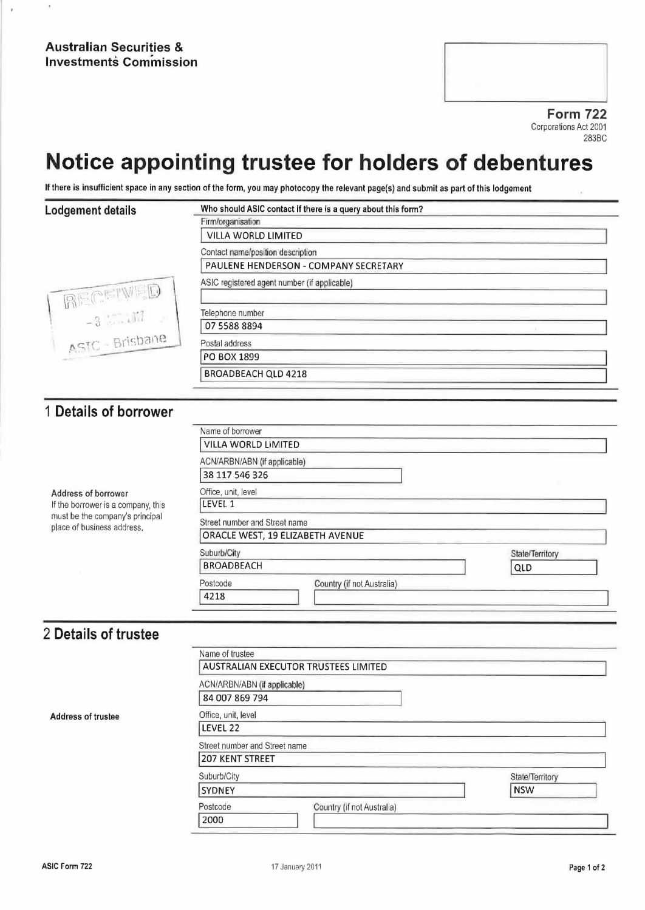Form 722 Corporations Act 2001 283BC

# Notice appointing trustee for holders of debentures

If there is insufficient space in any section of the form, you may photocopy the relevant page(s) and submit as part of this lodgement

## Lodgement details Who should ASIC contact if there is a query about this form? Firm/organisalíon VILLA WORLD LIMITED Contact name/posllion description PAULENE HENDERSON - COMPANY SECRETARY<br>ASIC registered agent number (if applicable) AECETWED Telephone number 07 5588 8894 ASTC - Brisbane Postal address PO BOX 1899 BROADBEACH QLD 4218 <sup>1</sup> Details of borrower Name of borrower VILLA WORLD LIMITED ACN/ARBN/ABN (if applicable) 38 117 546326 Address of borrower<br>
If the borrower is a company, this **ILEVEL 1** If the borrower is a company, this<br>must be the company's principal must be the company's principal Street number and Street name<br>place of business address, ORACLE WEST, 19 ELIZABETH AVENUE Suburb/City State/Territory BROADBEACH QLD Postcode Country (if not Australia) 4218

### 2 Details of trustee

Address of trustee

| Name of trustee               |                                      |                 |
|-------------------------------|--------------------------------------|-----------------|
|                               | AUSTRALIAN EXECUTOR TRUSTEES LIMITED |                 |
| ACN/ARBN/ABN (if applicable)  |                                      |                 |
| 84 007 869 794                |                                      |                 |
| Office, unit, level           |                                      |                 |
| LEVEL 22                      |                                      |                 |
| Street number and Street name |                                      |                 |
| <b>207 KENT STREET</b>        |                                      |                 |
| Suburb/City                   |                                      | State/Territory |
| SYDNEY                        |                                      | <b>NSW</b>      |
| Postcode                      | Country (if not Australia)           |                 |
| 2000                          |                                      |                 |
|                               |                                      |                 |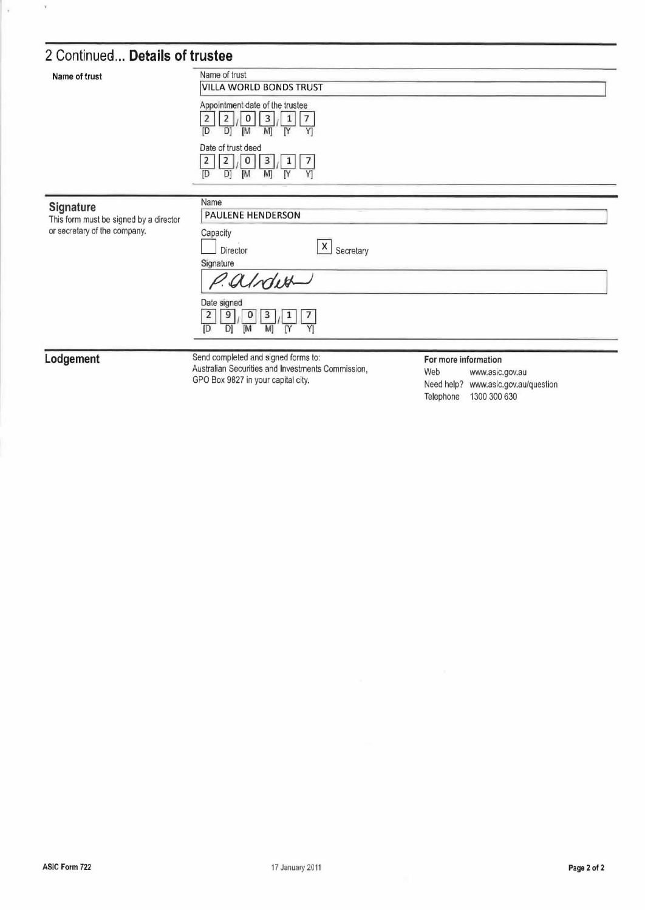# 2 Continued... Details of trustee

| Name of trust                                                                       | Name of trust<br>VILLA WORLD BONDS TRUST<br>Appointment date of the trustee<br>0<br>3<br>7<br>2<br>ſD<br>[M<br>I٢<br>M<br>D)<br>Y<br>Date of trust deed<br>3<br>0<br>7<br>2<br>1<br>[D<br>[M<br>M]<br>ſ٢<br>D<br>Y |                      |
|-------------------------------------------------------------------------------------|--------------------------------------------------------------------------------------------------------------------------------------------------------------------------------------------------------------------|----------------------|
| Signature<br>This form must be signed by a director<br>or secretary of the company. | Name<br>PAULENE HENDERSON<br>Capacity<br>$\overline{X}$ Secretary<br>Director<br>Signature<br>P.alrdwa<br>Date signed<br>3<br>2<br>7<br>9<br>0<br>[M<br>YI<br>ſD<br>M)<br>ſΥ<br>D                                  |                      |
| odgement                                                                            | Send completed and signed forms to:                                                                                                                                                                                | For more information |

#### Lodgement

 $\overline{\mathbf{v}}$ 

Australian Securities and signed forms to:<br>Australian Securities and Investments Commission,<br>GPO Box 9827 in your capital city.

#### For more information

Web www.asic.gov.au Need help? www.asic.gov.au/question Telephone 1300 300 630